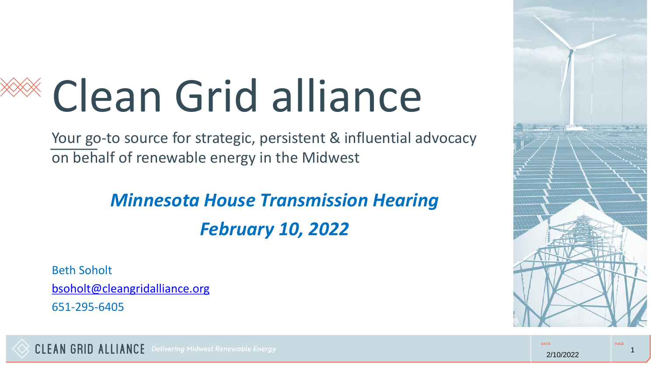# Clean Grid alliance

Your go-to source for strategic, persistent & influential advocacy on behalf of renewable energy in the Midwest

> *Minnesota House Transmission Hearing February 10, 2022*

Beth Soholt

[bsoholt@cleangridalliance.org](mailto:bsoholt@cleangridalliance.org)

651-295-6405

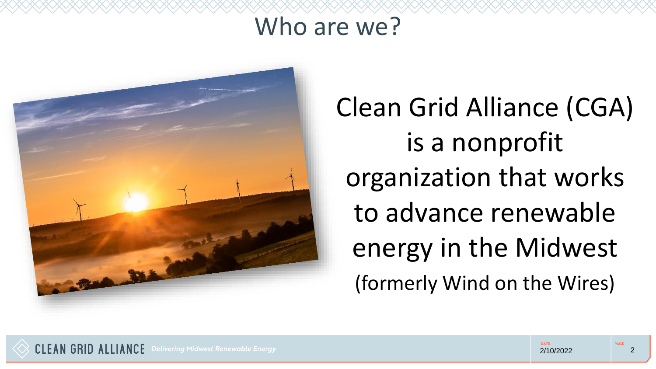### Who are we?



Clean Grid Alliance (CGA) is a nonprofit organization that works to advance renewable energy in the Midwest (formerly Wind on the Wires)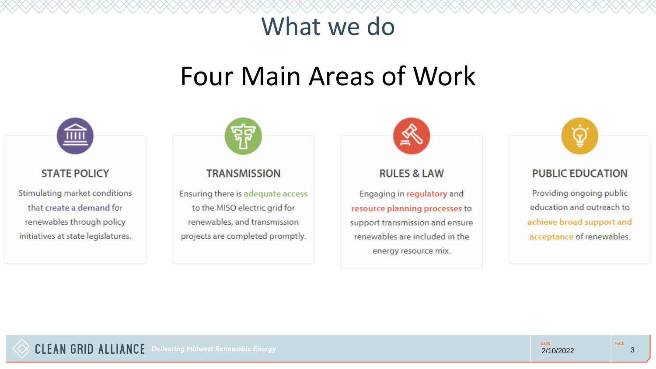### What we do

### Four Main Areas of Work



Stimulating market conditions that create a demand for renewables through policy initiatives at state legislatures.



#### **TRANSMISSION**

Ensuring there is adequate access to the MISO electric grid for renewables, and transmission projects are completed promptly.



Engaging in regulatory and resource planning processes to support transmission and ensure renewables are included in the energy resource mix.



Providing ongoing public education and outreach to achieve broad support and acceptance of renewables.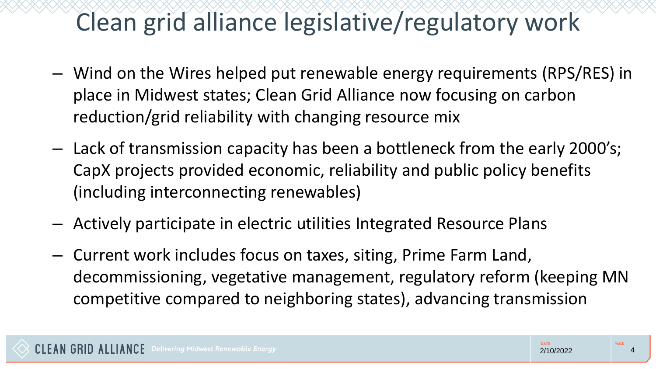### Clean grid alliance legislative/regulatory work

- Wind on the Wires helped put renewable energy requirements (RPS/RES) in place in Midwest states; Clean Grid Alliance now focusing on carbon reduction/grid reliability with changing resource mix
- Lack of transmission capacity has been a bottleneck from the early 2000's; CapX projects provided economic, reliability and public policy benefits (including interconnecting renewables)
- Actively participate in electric utilities Integrated Resource Plans
- Current work includes focus on taxes, siting, Prime Farm Land, decommissioning, vegetative management, regulatory reform (keeping MN competitive compared to neighboring states), advancing transmission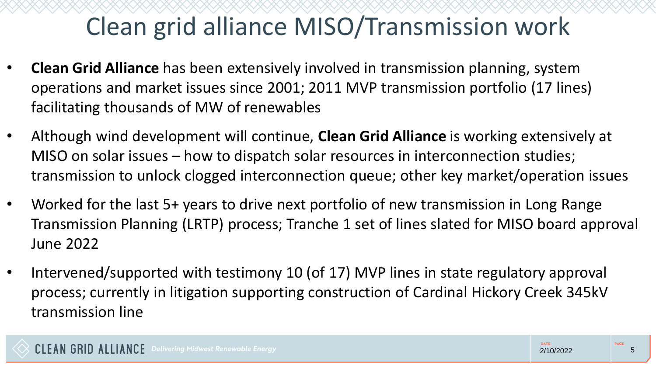## Clean grid alliance MISO/Transmission work

- **Clean Grid Alliance** has been extensively involved in transmission planning, system operations and market issues since 2001; 2011 MVP transmission portfolio (17 lines) facilitating thousands of MW of renewables
- Although wind development will continue, **Clean Grid Alliance** is working extensively at MISO on solar issues – how to dispatch solar resources in interconnection studies; transmission to unlock clogged interconnection queue; other key market/operation issues
- Worked for the last 5+ years to drive next portfolio of new transmission in Long Range Transmission Planning (LRTP) process; Tranche 1 set of lines slated for MISO board approval June 2022
- Intervened/supported with testimony 10 (of 17) MVP lines in state regulatory approval process; currently in litigation supporting construction of Cardinal Hickory Creek 345kV transmission line

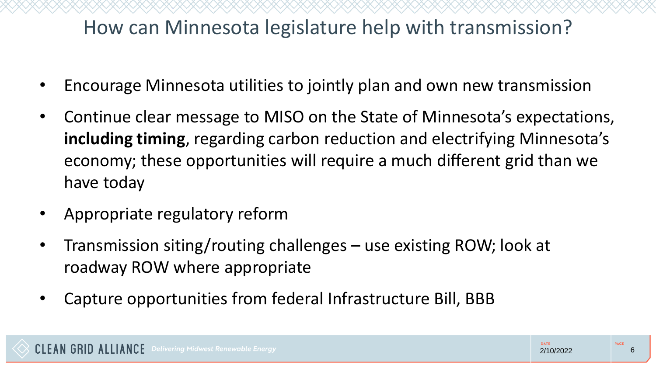### How can Minnesota legislature help with transmission?

- Encourage Minnesota utilities to jointly plan and own new transmission
- Continue clear message to MISO on the State of Minnesota's expectations, **including timing**, regarding carbon reduction and electrifying Minnesota's economy; these opportunities will require a much different grid than we have today
- Appropriate regulatory reform
- Transmission siting/routing challenges use existing ROW; look at roadway ROW where appropriate
- Capture opportunities from federal Infrastructure Bill, BBB